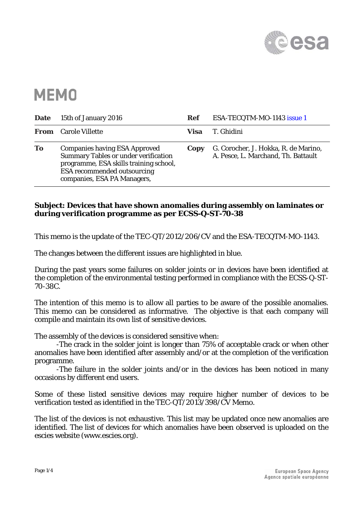

## **MEMO**

| <b>Date</b> | 15th of January 2016                                                                                                                                                                               | Ref  | ESA-TECQTM-MO-1143 issue 1                                                  |
|-------------|----------------------------------------------------------------------------------------------------------------------------------------------------------------------------------------------------|------|-----------------------------------------------------------------------------|
|             | <b>From</b> Carole Villette                                                                                                                                                                        | Visa | T. Ghidini                                                                  |
| To          | <b>Companies having ESA Approved</b><br><b>Summary Tables or under verification</b><br>programme, ESA skills training school,<br><b>ESA</b> recommended outsourcing<br>companies, ESA PA Managers, | Copy | G. Corocher, J. Hokka, R. de Marino,<br>A. Pesce, L. Marchand, Th. Battault |

## **Subject: Devices that have shown anomalies during assembly on laminates or during verification programme as per ECSS-Q-ST-70-38**

This memo is the update of the TEC-QT/2012/206/CV and the ESA-TECQTM-MO-1143.

The changes between the different issues are highlighted in blue.

During the past years some failures on solder joints or in devices have been identified at the completion of the environmental testing performed in compliance with the ECSS-Q-ST-70-38C.

The intention of this memo is to allow all parties to be aware of the possible anomalies. This memo can be considered as informative. The objective is that each company will compile and maintain its own list of sensitive devices.

The assembly of the devices is considered sensitive when:

-The crack in the solder joint is longer than 75% of acceptable crack or when other anomalies have been identified after assembly and/or at the completion of the verification programme.

 -The failure in the solder joints and/or in the devices has been noticed in many occasions by different end users.

Some of these listed sensitive devices may require higher number of devices to be verification tested as identified in the TEC-QT/2013/398/CV Memo.

The list of the devices is not exhaustive. This list may be updated once new anomalies are identified. The list of devices for which anomalies have been observed is uploaded on the escies website (www.escies.org).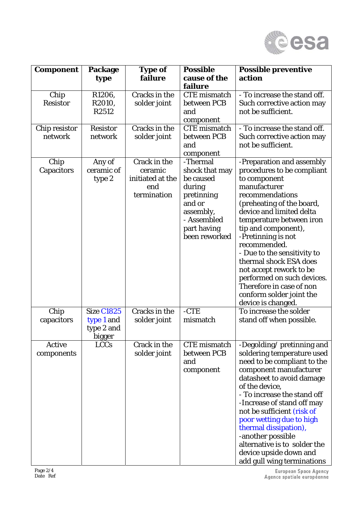

| <b>Component</b>            | Package                                                        | <b>Type of</b>                                                    | <b>Possible</b>                                                                                                                       | <b>Possible preventive</b>                                                                                                                                                                                                                                                                                                                                                                                                                                   |
|-----------------------------|----------------------------------------------------------------|-------------------------------------------------------------------|---------------------------------------------------------------------------------------------------------------------------------------|--------------------------------------------------------------------------------------------------------------------------------------------------------------------------------------------------------------------------------------------------------------------------------------------------------------------------------------------------------------------------------------------------------------------------------------------------------------|
|                             | type                                                           | failure                                                           | cause of the<br>failure                                                                                                               | action                                                                                                                                                                                                                                                                                                                                                                                                                                                       |
| Chip<br><b>Resistor</b>     | R1206,<br>R2010,<br>R2512                                      | Cracks in the<br>solder joint                                     | <b>CTE</b> mismatch<br>between PCB<br>and<br>component                                                                                | - To increase the stand off.<br>Such corrective action may<br>not be sufficient.                                                                                                                                                                                                                                                                                                                                                                             |
| Chip resistor<br>network    | <b>Resistor</b><br>network                                     | Cracks in the<br>solder joint                                     | <b>CTE</b> mismatch<br>between PCB<br>and<br>component                                                                                | - To increase the stand off.<br>Such corrective action may<br>not be sufficient.                                                                                                                                                                                                                                                                                                                                                                             |
| Chip<br>Capacitors          | Any of<br>ceramic of<br>type 2                                 | Crack in the<br>ceramic<br>initiated at the<br>end<br>termination | -Thermal<br>shock that may<br>be caused<br>during<br>pretinning<br>and or<br>assembly,<br>- Assembled<br>part having<br>been reworked | -Preparation and assembly<br>procedures to be compliant<br>to component<br>manufacturer<br>recommendations<br>(preheating of the board,<br>device and limited delta<br>temperature between iron<br>tip and component),<br>-Pretinning is not<br>recommended.<br>- Due to the sensitivity to<br>thermal shock ESA does<br>not accept rework to be<br>performed on such devices.<br>Therefore in case of non<br>conform solder joint the<br>device is changed. |
| Chip<br>capacitors          | <b>Size C1825</b><br>type 1 and<br>type 2 and<br><b>bigger</b> | Cracks in the<br>solder joint                                     | $-CTE$<br>mismatch                                                                                                                    | To increase the solder<br>stand off when possible.                                                                                                                                                                                                                                                                                                                                                                                                           |
| <b>Active</b><br>components | <b>LCCs</b>                                                    | Crack in the<br>solder joint                                      | <b>CTE</b> mismatch<br>between PCB<br>and<br>component                                                                                | -Degolding/pretinning and<br>soldering temperature used<br>need to be compliant to the<br>component manufacturer<br>datasheet to avoid damage<br>of the device,<br>- To increase the stand off<br>-Increase of stand off may<br>not be sufficient (risk of<br>poor wetting due to high<br>thermal dissipation),<br>-another possible<br>alternative is to solder the<br>device upside down and<br>add gull wing terminations                                 |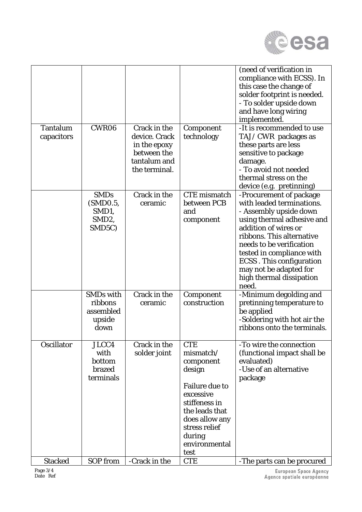

| Tantalum<br>capacitors | CWR06                                                                         | Crack in the<br>device. Crack<br>in the epoxy<br>between the<br>tantalum and<br>the terminal. | Component<br>technology                                                                                                                                                                       | (need of verification in<br>compliance with ECSS). In<br>this case the change of<br>solder footprint is needed.<br>- To solder upside down<br>and have long wiring<br>implemented.<br>-It is recommended to use<br>TAJ/CWR packages as<br>these parts are less<br>sensitive to package<br>damage.<br>- To avoid not needed<br>thermal stress on the |
|------------------------|-------------------------------------------------------------------------------|-----------------------------------------------------------------------------------------------|-----------------------------------------------------------------------------------------------------------------------------------------------------------------------------------------------|-----------------------------------------------------------------------------------------------------------------------------------------------------------------------------------------------------------------------------------------------------------------------------------------------------------------------------------------------------|
|                        |                                                                               |                                                                                               |                                                                                                                                                                                               | device (e.g. pretinning)                                                                                                                                                                                                                                                                                                                            |
|                        | <b>SMDs</b><br>(SMD0.5,<br>SMD1,<br>SMD <sub>2</sub> ,<br>SMD <sub>5</sub> C) | Crack in the<br>ceramic                                                                       | <b>CTE</b> mismatch<br>between PCB<br>and<br>component                                                                                                                                        | -Procurement of package<br>with leaded terminations.<br>- Assembly upside down<br>using thermal adhesive and<br>addition of wires or<br>ribbons. This alternative<br>needs to be verification<br>tested in compliance with<br><b>ECSS</b> . This configuration<br>may not be adapted for<br>high thermal dissipation<br>need.                       |
|                        | SMDs with<br>ribbons<br>assembled<br>upside<br>down                           | Crack in the<br>ceramic                                                                       | Component<br>construction                                                                                                                                                                     | -Minimum degolding and<br>pretinning temperature to<br>be applied<br>-Soldering with hot air the<br>ribbons onto the terminals.                                                                                                                                                                                                                     |
| Oscillator             | JLCC4<br>with<br>bottom<br>brazed<br>terminals                                | Crack in the<br>solder joint                                                                  | <b>CTE</b><br>mismatch/<br>component<br>design<br><b>Failure due to</b><br>excessive<br>stiffeness in<br>the leads that<br>does allow any<br>stress relief<br>during<br>environmental<br>test | -To wire the connection<br>(functional impact shall be<br>evaluated)<br>-Use of an alternative<br>package                                                                                                                                                                                                                                           |
| <b>Stacked</b>         | SOP from                                                                      | -Crack in the                                                                                 | <b>CTE</b>                                                                                                                                                                                    | -The parts can be procured                                                                                                                                                                                                                                                                                                                          |